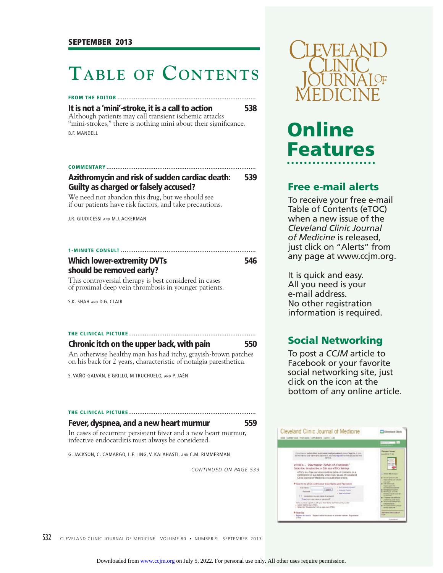## **TABLE OF CONTENTS**

## **FROM THE EDITOR ............................................................................**

**It is not a 'mini'-stroke, it is a call to action 538**

Although patients may call transient ischemic attacks "mini-strokes," there is nothing mini about their significance. B.F. MANDELL

## **COMMENTARY ..................................................................................**

## **Azithromycin and risk of sudden cardiac death: 539 Guilty as charged or falsely accused?**

We need not abandon this drug, but we should see if our patients have risk factors, and take precautions.

J.R. GIUDICESSI AND M.J. ACKERMAN

### **1-MINUTE CONSULT ..........................................................................**

## **Which lower-extremity DVTs** 546 **should be removed early?**

This controversial therapy is best considered in cases of proximal deep vein thrombosis in younger patients.

S.K. SHAH AND D.G. CLAIR

## **THE CLINICAL PICTURE ......................................................................**

| Chronic itch on the upper back, with pain                         | 550 |
|-------------------------------------------------------------------|-----|
| An otherwise healthy man has had itchy, grayish-brown patches     |     |
| on his back for 2 years, characteristic of notalgia paresthetica. |     |

S. VAÑÓ-GALVÁN, E GRILLO, M TRUCHUELO, AND P. JAÉN

## **THE CLINICAL PICTURE ......................................................................**

## **Fever, dyspnea, and a new heart murmur 559**

In cases of recurrent persistent fever and a new heart murmur, infective endocarditis must always be considered.

G. JACKSON, C. CAMARGO, L.F. LING, V. KALAHASTI, AND C.M. RIMMERMAN

*CONTINUED ON PAGE 533*



# **Online Features**

## **Free e-mail alerts**

To receive your free e-mail Table of Contents (eTOC) when a new issue of the *Cleveland Clinic Journal of Medicine* is released, just click on "Alerts" from any page at www.ccjm.org.

It is quick and easy. All you need is your e-mail address. No other registration information is required.

**Social Networking** To post a *CCJM* article to Facebook or your favorite social networking site, just click on the icon at the bottom of any online article.